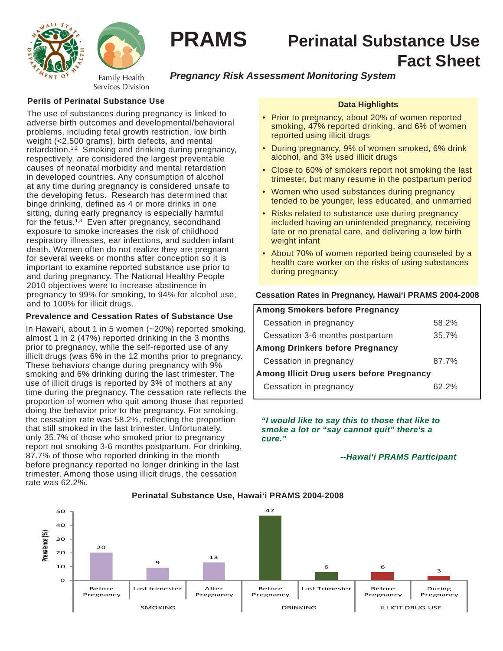



# **PRAMS Perinatal Substance Use Fact Sheet**

## *Pregnancy Risk Assessment Monitoring System*

## **Perils of Perinatal Substance Use**

The use of substances during pregnancy is linked to adverse birth outcomes and developmental/behavioral problems, including fetal growth restriction, low birth weight (<2,500 grams), birth defects, and mental retardation.<sup>1,2</sup> Smoking and drinking during pregnancy, respectively, are considered the largest preventable causes of neonatal morbidity and mental retardation in developed countries. Any consumption of alcohol at any time during pregnancy is considered unsafe to the developing fetus. Research has determined that binge drinking, defined as 4 or more drinks in one sitting, during early pregnancy is especially harmful for the fetus.<sup>1,3</sup> Even after pregnancy, secondhand exposure to smoke increases the risk of childhood respiratory illnesses, ear infections, and sudden infant death. Women often do not realize they are pregnant for several weeks or months after conception so it is important to examine reported substance use prior to and during pregnancy. The National Healthy People 2010 objectives were to increase abstinence in pregnancy to 99% for smoking, to 94% for alcohol use, and to 100% for illicit drugs.

## **Prevalence and Cessation Rates of Substance Use**

In Hawai'i, about 1 in 5 women (~20%) reported smoking, almost 1 in 2 (47%) reported drinking in the 3 months prior to pregnancy, while the self-reported use of any illicit drugs (was 6% in the 12 months prior to pregnancy. These behaviors change during pregnancy with 9% smoking and 6% drinking during the last trimester. The use of illicit drugs is reported by 3% of mothers at any time during the pregnancy. The cessation rate reflects the proportion of women who quit among those that reported doing the behavior prior to the pregnancy. For smoking, the cessation rate was 58.2%, reflecting the proportion that still smoked in the last trimester. Unfortunately, only 35.7% of those who smoked prior to pregnancy report not smoking 3-6 months postpartum. For drinking, 87.7% of those who reported drinking in the month before pregnancy reported no longer drinking in the last trimester. Among those using illicit drugs, the cessation rate was 62.2%.

## **Data Highlights**

- Prior to pregnancy, about 20% of women reported smoking, 47% reported drinking, and 6% of women reported using illicit drugs
- During pregnancy, 9% of women smoked, 6% drink alcohol, and 3% used illicit drugs
- Close to 60% of smokers report not smoking the last trimester, but many resume in the postpartum period
- Women who used substances during pregnancy tended to be younger, less educated, and unmarried
- Risks related to substance use during pregnancy included having an unintended pregnancy, receiving late or no prenatal care, and delivering a low birth weight infant
- About 70% of women reported being counseled by a health care worker on the risks of using substances during pregnancy

#### **Cessation Rates in Pregnancy, Hawai'i PRAMS 2004-2008**

| <b>Among Smokers before Pregnancy</b>     |       |  |
|-------------------------------------------|-------|--|
| Cessation in pregnancy                    | 58.2% |  |
| Cessation 3-6 months postpartum           | 35.7% |  |
| <b>Among Drinkers before Pregnancy</b>    |       |  |
| Cessation in pregnancy                    | 87.7% |  |
| Among Illicit Drug users before Pregnancy |       |  |
| Cessation in pregnancy                    | 62 2% |  |

*"I would like to say this to those that like to smoke a lot or "say cannot quit" there's a cure."* 

### *--Hawai'i PRAMS Participant*



### **Perinatal Substance Use, Hawai'i PRAMS 2004-2008**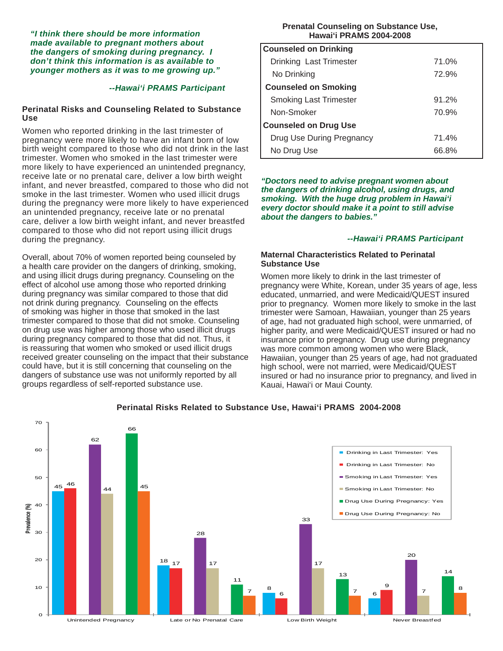*"I think there should be more information made available to pregnant mothers about the dangers of smoking during pregnancy. I don't think this information is as available to younger mothers as it was to me growing up."* 

#### *--Hawai'i PRAMS Participant*

#### **Perinatal Risks and Counseling Related to Substance Use**

Women who reported drinking in the last trimester of pregnancy were more likely to have an infant born of low birth weight compared to those who did not drink in the last trimester. Women who smoked in the last trimester were more likely to have experienced an unintended pregnancy, receive late or no prenatal care, deliver a low birth weight infant, and never breastfed, compared to those who did not smoke in the last trimester. Women who used illicit drugs during the pregnancy were more likely to have experienced an unintended pregnancy, receive late or no prenatal care, deliver a low birth weight infant, and never breastfed compared to those who did not report using illicit drugs during the pregnancy.

Overall, about 70% of women reported being counseled by a health care provider on the dangers of drinking, smoking, and using illicit drugs during pregnancy. Counseling on the effect of alcohol use among those who reported drinking during pregnancy was similar compared to those that did not drink during pregnancy. Counseling on the effects of smoking was higher in those that smoked in the last trimester compared to those that did not smoke. Counseling on drug use was higher among those who used illicit drugs during pregnancy compared to those that did not. Thus, it is reassuring that women who smoked or used illicit drugs received greater counseling on the impact that their substance could have, but it is still concerning that counseling on the dangers of substance use was not uniformly reported by all groups regardless of self-reported substance use.

#### **Prenatal Counseling on Substance Use, Hawai'i PRAMS 2004-2008**

| <b>Counseled on Drinking</b>  |       |
|-------------------------------|-------|
| Drinking Last Trimester       | 71.0% |
| No Drinking                   | 72.9% |
| <b>Counseled on Smoking</b>   |       |
| <b>Smoking Last Trimester</b> | 91.2% |
| Non-Smoker                    | 70.9% |
| <b>Counseled on Drug Use</b>  |       |
| Drug Use During Pregnancy     | 71.4% |
| No Drug Use                   | 66.8% |

*"Doctors need to advise pregnant women about the dangers of drinking alcohol, using drugs, and smoking. With the huge drug problem in Hawai'i every doctor should make it a point to still advise about the dangers to babies."*

#### *--Hawai'i PRAMS Participant*

#### **Maternal Characteristics Related to Perinatal Substance Use**

Women more likely to drink in the last trimester of pregnancy were White, Korean, under 35 years of age, less educated, unmarried, and were Medicaid/QUEST insured prior to pregnancy. Women more likely to smoke in the last trimester were Samoan, Hawaiian, younger than 25 years of age, had not graduated high school, were unmarried, of higher parity, and were Medicaid/QUEST insured or had no insurance prior to pregnancy. Drug use during pregnancy was more common among women who were Black, Hawaiian, younger than 25 years of age, had not graduated high school, were not married, were Medicaid/QUEST insured or had no insurance prior to pregnancy, and lived in Kauai, Hawai'i or Maui County.



### **Perinatal Risks Related to Substance Use, Hawai'i PRAMS 2004-2008**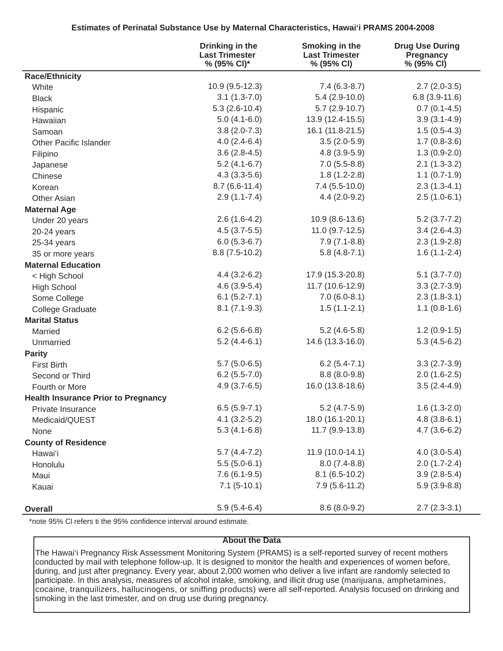## **Estimates of Perinatal Substance Use by Maternal Characteristics, Hawai'i PRAMS 2004-2008**

|                                            | Drinking in the<br><b>Last Trimester</b><br>% (95% CI)* | <b>Smoking in the</b><br><b>Last Trimester</b><br>% (95% CI) | <b>Drug Use During</b><br>Pregnancy<br>% (95% CI) |
|--------------------------------------------|---------------------------------------------------------|--------------------------------------------------------------|---------------------------------------------------|
| <b>Race/Ethnicity</b>                      |                                                         |                                                              |                                                   |
| White                                      | $10.9(9.5-12.3)$                                        | $7.4(6.3-8.7)$                                               | $2.7(2.0-3.5)$                                    |
| <b>Black</b>                               | $3.1(1.3-7.0)$                                          | $5.4(2.9-10.0)$                                              | $6.8(3.9-11.6)$                                   |
| Hispanic                                   | $5.3(2.6-10.4)$                                         | $5.7(2.9-10.7)$                                              | $0.7(0.1-4.5)$                                    |
| Hawaiian                                   | $5.0(4.1-6.0)$                                          | 13.9 (12.4-15.5)                                             | $3.9(3.1-4.9)$                                    |
| Samoan                                     | $3.8(2.0-7.3)$                                          | 16.1 (11.8-21.5)                                             | $1.5(0.5-4.3)$                                    |
| <b>Other Pacific Islander</b>              | $4.0(2.4-6.4)$                                          | $3.5(2.0-5.9)$                                               | $1.7(0.8-3.6)$                                    |
| Filipino                                   | $3.6(2.8-4.5)$                                          | $4.8(3.9-5.9)$                                               | $1.3(0.9-2.0)$                                    |
| Japanese                                   | $5.2(4.1-6.7)$                                          | $7.0(5.5-8.8)$                                               | $2.1(1.3-3.2)$                                    |
| Chinese                                    | $4.3(3.3-5.6)$                                          | $1.8(1.2-2.8)$                                               | $1.1(0.7-1.9)$                                    |
| Korean                                     | $8.7(6.6-11.4)$                                         | $7.4(5.5-10.0)$                                              | $2.3(1.3-4.1)$                                    |
| <b>Other Asian</b>                         | $2.9(1.1-7.4)$                                          | $4.4(2.0-9.2)$                                               | $2.5(1.0-6.1)$                                    |
| <b>Maternal Age</b>                        |                                                         |                                                              |                                                   |
| Under 20 years                             | $2.6(1.6-4.2)$                                          | 10.9 (8.6-13.6)                                              | $5.2(3.7 - 7.2)$                                  |
| 20-24 years                                | $4.5(3.7-5.5)$                                          | $11.0(9.7-12.5)$                                             | $3.4(2.6-4.3)$                                    |
| 25-34 years                                | $6.0(5.3-6.7)$                                          | $7.9(7.1-8.8)$                                               | $2.3(1.9-2.8)$                                    |
| 35 or more years                           | $8.8(7.5-10.2)$                                         | $5.8(4.8-7.1)$                                               | $1.6(1.1-2.4)$                                    |
| <b>Maternal Education</b>                  |                                                         |                                                              |                                                   |
| < High School                              | $4.4(3.2-6.2)$                                          | 17.9 (15.3-20.8)                                             | $5.1(3.7 - 7.0)$                                  |
| <b>High School</b>                         | $4.6(3.9-5.4)$                                          | 11.7 (10.6-12.9)                                             | $3.3(2.7-3.9)$                                    |
| Some College                               | $6.1 (5.2 - 7.1)$                                       | $7.0(6.0-8.1)$                                               | $2.3(1.8-3.1)$                                    |
| <b>College Graduate</b>                    | $8.1(7.1-9.3)$                                          | $1.5(1.1-2.1)$                                               | $1.1(0.8-1.6)$                                    |
| <b>Marital Status</b>                      |                                                         |                                                              |                                                   |
| Married                                    | $6.2(5.6-6.8)$                                          | $5.2(4.6-5.8)$                                               | $1.2(0.9-1.5)$                                    |
| Unmarried                                  | $5.2(4.4-6.1)$                                          | 14.6 (13.3-16.0)                                             | $5.3(4.5-6.2)$                                    |
| <b>Parity</b>                              |                                                         |                                                              |                                                   |
| <b>First Birth</b>                         | $5.7(5.0-6.5)$                                          | $6.2(5.4-7.1)$                                               | $3.3(2.7-3.9)$                                    |
| Second or Third                            | $6.2(5.5-7.0)$                                          | $8.8(8.0-9.8)$                                               | $2.0(1.6-2.5)$                                    |
| Fourth or More                             | $4.9(3.7-6.5)$                                          | 16.0 (13.8-18.6)                                             | $3.5(2.4-4.9)$                                    |
| <b>Health Insurance Prior to Pregnancy</b> |                                                         |                                                              |                                                   |
| Private Insurance                          | $6.5(5.9-7.1)$                                          | $5.2(4.7-5.9)$                                               | $1.6(1.3-2.0)$                                    |
| Medicaid/QUEST                             | $4.1(3.2-5.2)$                                          | 18.0 (16.1-20.1)                                             | $4.8(3.8-6.1)$                                    |
| None                                       | $5.3(4.1-6.8)$                                          | 11.7 (9.9-13.8)                                              | $4.7(3.6-6.2)$                                    |
| <b>County of Residence</b>                 |                                                         |                                                              |                                                   |
| Hawai'i                                    | $5.7(4.4-7.2)$                                          | 11.9 (10.0-14.1)                                             | $4.0(3.0-5.4)$                                    |
| Honolulu                                   | $5.5(5.0-6.1)$                                          | $8.0(7.4-8.8)$                                               | $2.0(1.7-2.4)$                                    |
| Maui                                       | $7.6(6.1-9.5)$                                          | $8.1(6.5-10.2)$                                              | $3.9(2.8-5.4)$                                    |
| Kauai                                      | $7.1(5-10.1)$                                           | $7.9(5.6-11.2)$                                              | $5.9(3.9-8.8)$                                    |
| <b>Overall</b>                             | $5.9(5.4-6.4)$                                          | $8.6(8.0-9.2)$                                               | $2.7(2.3-3.1)$                                    |

\*note 95% CI refers ti the 95% confidence interval around estimate.

### **About the Data**

The Hawai'i Pregnancy Risk Assessment Monitoring System (PRAMS) is a self-reported survey of recent mothers conducted by mail with telephone follow-up. It is designed to monitor the health and experiences of women before, during, and just after pregnancy. Every year, about 2,000 women who deliver a live infant are randomly selected to participate. In this analysis, measures of alcohol intake, smoking, and illicit drug use (marijuana, amphetamines, cocaine, tranquilizers, hallucinogens, or sniffing products) were all self-reported. Analysis focused on drinking and smoking in the last trimester, and on drug use during pregnancy.